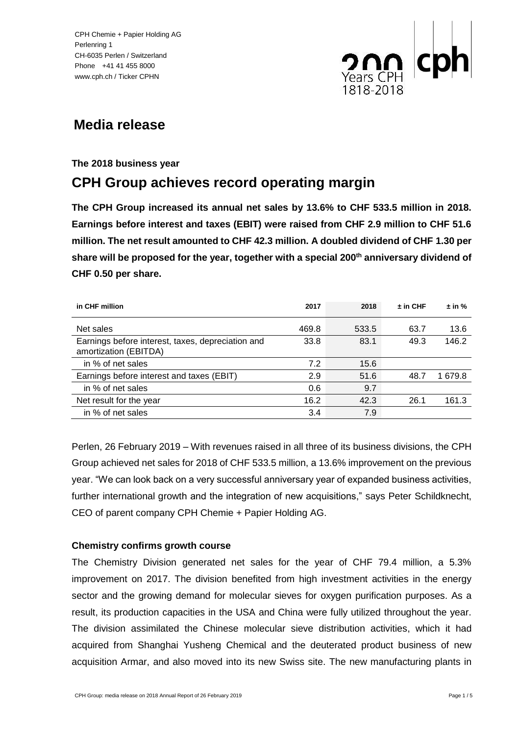

# **Media release**

# **The 2018 business year**

# **CPH Group achieves record operating margin**

**The CPH Group increased its annual net sales by 13.6% to CHF 533.5 million in 2018. Earnings before interest and taxes (EBIT) were raised from CHF 2.9 million to CHF 51.6 million. The net result amounted to CHF 42.3 million. A doubled dividend of CHF 1.30 per share will be proposed for the year, together with a special 200th anniversary dividend of CHF 0.50 per share.**

| in CHF million                                                             | 2017  | 2018  | $\pm$ in CHF | $\pm$ in % |
|----------------------------------------------------------------------------|-------|-------|--------------|------------|
| Net sales                                                                  | 469.8 | 533.5 | 63.7         | 13.6       |
| Earnings before interest, taxes, depreciation and<br>amortization (EBITDA) | 33.8  | 83.1  | 49.3         | 146.2      |
| in % of net sales                                                          | 7.2   | 15.6  |              |            |
| Earnings before interest and taxes (EBIT)                                  | 2.9   | 51.6  | 48.7         | 1 679.8    |
| in % of net sales                                                          | 0.6   | 9.7   |              |            |
| Net result for the year                                                    | 16.2  | 42.3  | 26.1         | 161.3      |
| in % of net sales                                                          | 3.4   | 7.9   |              |            |

Perlen, 26 February 2019 – With revenues raised in all three of its business divisions, the CPH Group achieved net sales for 2018 of CHF 533.5 million, a 13.6% improvement on the previous year. "We can look back on a very successful anniversary year of expanded business activities, further international growth and the integration of new acquisitions," says Peter Schildknecht, CEO of parent company CPH Chemie + Papier Holding AG.

# **Chemistry confirms growth course**

The Chemistry Division generated net sales for the year of CHF 79.4 million, a 5.3% improvement on 2017. The division benefited from high investment activities in the energy sector and the growing demand for molecular sieves for oxygen purification purposes. As a result, its production capacities in the USA and China were fully utilized throughout the year. The division assimilated the Chinese molecular sieve distribution activities, which it had acquired from Shanghai Yusheng Chemical and the deuterated product business of new acquisition Armar, and also moved into its new Swiss site. The new manufacturing plants in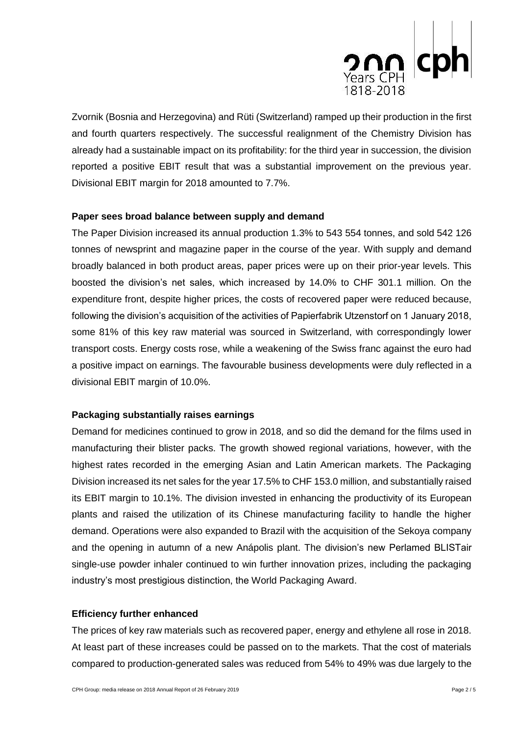

Zvornik (Bosnia and Herzegovina) and Rüti (Switzerland) ramped up their production in the first and fourth quarters respectively. The successful realignment of the Chemistry Division has already had a sustainable impact on its profitability: for the third year in succession, the division reported a positive EBIT result that was a substantial improvement on the previous year. Divisional EBIT margin for 2018 amounted to 7.7%.

#### **Paper sees broad balance between supply and demand**

The Paper Division increased its annual production 1.3% to 543 554 tonnes, and sold 542 126 tonnes of newsprint and magazine paper in the course of the year. With supply and demand broadly balanced in both product areas, paper prices were up on their prior-year levels. This boosted the division's net sales, which increased by 14.0% to CHF 301.1 million. On the expenditure front, despite higher prices, the costs of recovered paper were reduced because, following the division's acquisition of the activities of Papierfabrik Utzenstorf on 1 January 2018, some 81% of this key raw material was sourced in Switzerland, with correspondingly lower transport costs. Energy costs rose, while a weakening of the Swiss franc against the euro had a positive impact on earnings. The favourable business developments were duly reflected in a divisional EBIT margin of 10.0%.

#### **Packaging substantially raises earnings**

Demand for medicines continued to grow in 2018, and so did the demand for the films used in manufacturing their blister packs. The growth showed regional variations, however, with the highest rates recorded in the emerging Asian and Latin American markets. The Packaging Division increased its net sales for the year 17.5% to CHF 153.0 million, and substantially raised its EBIT margin to 10.1%. The division invested in enhancing the productivity of its European plants and raised the utilization of its Chinese manufacturing facility to handle the higher demand. Operations were also expanded to Brazil with the acquisition of the Sekoya company and the opening in autumn of a new Anápolis plant. The division's new Perlamed BLISTair single-use powder inhaler continued to win further innovation prizes, including the packaging industry's most prestigious distinction, the World Packaging Award.

#### **Efficiency further enhanced**

The prices of key raw materials such as recovered paper, energy and ethylene all rose in 2018. At least part of these increases could be passed on to the markets. That the cost of materials compared to production-generated sales was reduced from 54% to 49% was due largely to the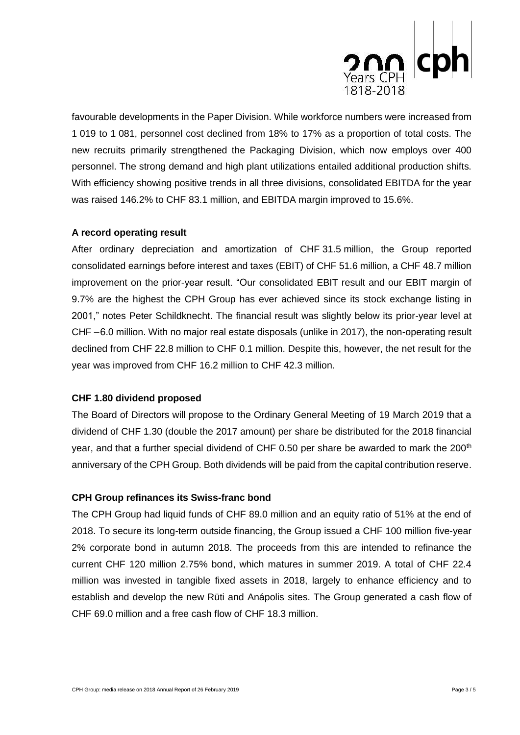

favourable developments in the Paper Division. While workforce numbers were increased from 1 019 to 1 081, personnel cost declined from 18% to 17% as a proportion of total costs. The new recruits primarily strengthened the Packaging Division, which now employs over 400 personnel. The strong demand and high plant utilizations entailed additional production shifts. With efficiency showing positive trends in all three divisions, consolidated EBITDA for the year was raised 146.2% to CHF 83.1 million, and EBITDA margin improved to 15.6%.

# **A record operating result**

After ordinary depreciation and amortization of CHF 31.5 million, the Group reported consolidated earnings before interest and taxes (EBIT) of CHF 51.6 million, a CHF 48.7 million improvement on the prior-year result. "Our consolidated EBIT result and our EBIT margin of 9.7% are the highest the CPH Group has ever achieved since its stock exchange listing in 2001," notes Peter Schildknecht. The financial result was slightly below its prior-year level at CHF – 6.0 million. With no major real estate disposals (unlike in 2017), the non-operating result declined from CHF 22.8 million to CHF 0.1 million. Despite this, however, the net result for the year was improved from CHF 16.2 million to CHF 42.3 million.

# **CHF 1.80 dividend proposed**

The Board of Directors will propose to the Ordinary General Meeting of 19 March 2019 that a dividend of CHF 1.30 (double the 2017 amount) per share be distributed for the 2018 financial year, and that a further special dividend of CHF 0.50 per share be awarded to mark the  $200<sup>th</sup>$ anniversary of the CPH Group. Both dividends will be paid from the capital contribution reserve.

# **CPH Group refinances its Swiss-franc bond**

The CPH Group had liquid funds of CHF 89.0 million and an equity ratio of 51% at the end of 2018. To secure its long-term outside financing, the Group issued a CHF 100 million five-year 2% corporate bond in autumn 2018. The proceeds from this are intended to refinance the current CHF 120 million 2.75% bond, which matures in summer 2019. A total of CHF 22.4 million was invested in tangible fixed assets in 2018, largely to enhance efficiency and to establish and develop the new Rüti and Anápolis sites. The Group generated a cash flow of CHF 69.0 million and a free cash flow of CHF 18.3 million.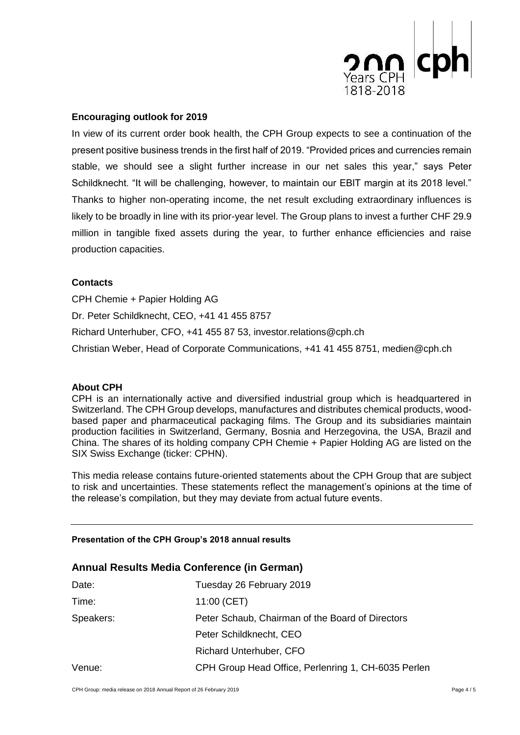

# **Encouraging outlook for 2019**

In view of its current order book health, the CPH Group expects to see a continuation of the present positive business trends in the first half of 2019. "Provided prices and currencies remain stable, we should see a slight further increase in our net sales this year," says Peter Schildknecht. "It will be challenging, however, to maintain our EBIT margin at its 2018 level." Thanks to higher non-operating income, the net result excluding extraordinary influences is likely to be broadly in line with its prior-year level. The Group plans to invest a further CHF 29.9 million in tangible fixed assets during the year, to further enhance efficiencies and raise production capacities.

#### **Contacts**

CPH Chemie + Papier Holding AG Dr. Peter Schildknecht, CEO, +41 41 455 8757 Richard Unterhuber, CFO, +41 455 87 53, investor.relations@cph.ch Christian Weber, Head of Corporate Communications, +41 41 455 8751, medien@cph.ch

#### **About CPH**

CPH is an internationally active and diversified industrial group which is headquartered in Switzerland. The CPH Group develops, manufactures and distributes chemical products, woodbased paper and pharmaceutical packaging films. The Group and its subsidiaries maintain production facilities in Switzerland, Germany, Bosnia and Herzegovina, the USA, Brazil and China. The shares of its holding company CPH Chemie + Papier Holding AG are listed on the SIX Swiss Exchange (ticker: CPHN).

This media release contains future-oriented statements about the CPH Group that are subject to risk and uncertainties. These statements reflect the management's opinions at the time of the release's compilation, but they may deviate from actual future events.

#### **Presentation of the CPH Group's 2018 annual results**

#### **Annual Results Media Conference (in German)**

| Date:     | Tuesday 26 February 2019                            |
|-----------|-----------------------------------------------------|
| Time:     | 11:00 (CET)                                         |
| Speakers: | Peter Schaub, Chairman of the Board of Directors    |
|           | Peter Schildknecht, CEO                             |
|           | <b>Richard Unterhuber, CFO</b>                      |
| Venue:    | CPH Group Head Office, Perlenring 1, CH-6035 Perlen |